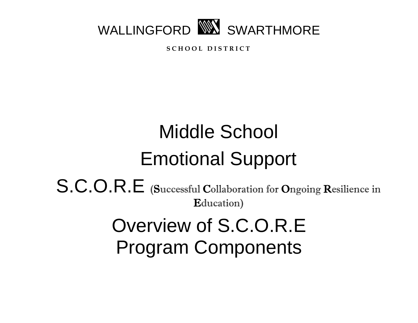

**S C H O O L D I S T R I C T**

# Middle School Emotional Support S.C.O.R.E (Successful Collaboration for Ongoing Resilience in Education) Overview of S.C.O.R.E Program Components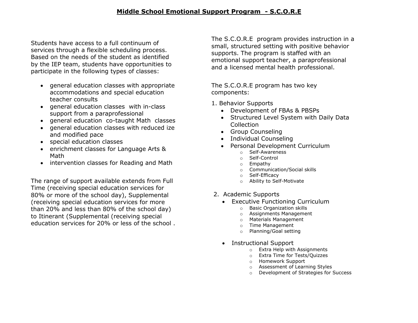Students have access to a full continuum of services through a flexible scheduling process. Based on the needs of the student as identified by the IEP team, students have opportunities to participate in the following types of classes:

- general education classes with appropriate accommodations and special education teacher consults
- general education classes with in-class support from a paraprofessional
- general education co-taught Math classes
- general education classes with reduced ize and modified pace
- special education classes
- enrichment classes for Language Arts & Math
- intervention classes for Reading and Math

The range of support available extends from Full Time (receiving special education services for 80% or more of the school day), Supplemental (receiving special education services for more than 20% and less than 80% of the school day) to Itinerant (Supplemental (receiving special education services for 20% or less of the school . The S.C.O.R.E program provides instruction in a small, structured setting with positive behavior supports. The program is staffed with an emotional support teacher, a paraprofessional and a licensed mental health professional.

The S.C.O.R.E program has two key components:

- 1. Behavior Supports
	- Development of FBAs & PBSPs
	- Structured Level System with Daily Data Collection
	- Group Counseling
	- Individual Counseling
	- Personal Development Curriculum
		- o Self-Awareness
		- o Self-Control
		- o Empathy
		- o Communication/Social skills
		- o Self-Efficacy
		- o Ability to Self-Motivate
- 2. Academic Supports
	- Executive Functioning Curriculum
		- o Basic Organization skills
		- o Assignments Management
		- o Materials Management
		- o Time Management
		- o Planning/Goal setting
	- Instructional Support
		- o Extra Help with Assignments
		- o Extra Time for Tests/Quizzes
		- o Homework Support
		- o Assessment of Learning Styles
		- o Development of Strategies for Success